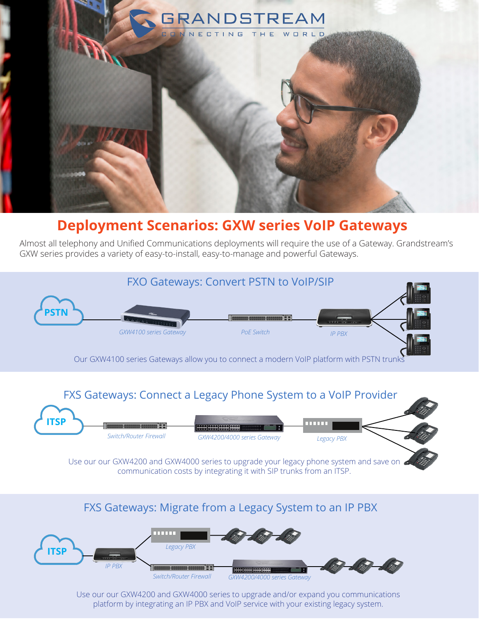

## **Deployment Scenarios: GXW series VoIP Gateways**

Almost all telephony and Unified Communications deployments will require the use of a Gateway. Grandstream's GXW series provides a variety of easy-to-install, easy-to-manage and powerful Gateways.



## FXS Gateways: Migrate from a Legacy System to an IP PBX



Use our our GXW4200 and GXW4000 series to upgrade and/or expand you communications platform by integrating an IP PBX and VoIP service with your existing legacy system.